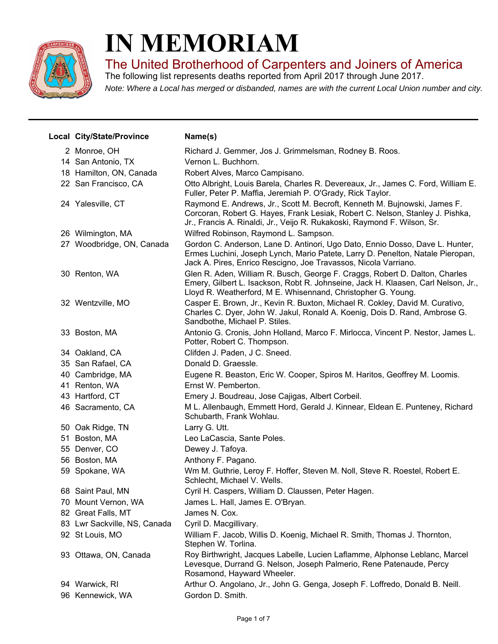

## **IN MEMORIAM**

The United Brotherhood of Carpenters and Joiners of America

*Note: Where a Local has merged or disbanded, names are with the current Local Union number and city.* The following list represents deaths reported from April 2017 through June 2017.

| Local City/State/Province    | Name(s)                                                                                                                                                                                                                                |
|------------------------------|----------------------------------------------------------------------------------------------------------------------------------------------------------------------------------------------------------------------------------------|
| 2 Monroe, OH                 | Richard J. Gemmer, Jos J. Grimmelsman, Rodney B. Roos.                                                                                                                                                                                 |
| 14 San Antonio, TX           | Vernon L. Buchhorn.                                                                                                                                                                                                                    |
| 18 Hamilton, ON, Canada      | Robert Alves, Marco Campisano.                                                                                                                                                                                                         |
| 22 San Francisco, CA         | Otto Albright, Louis Barela, Charles R. Devereaux, Jr., James C. Ford, William E.<br>Fuller, Peter P. Maffia, Jeremiah P. O'Grady, Rick Taylor.                                                                                        |
| 24 Yalesville, CT            | Raymond E. Andrews, Jr., Scott M. Becroft, Kenneth M. Bujnowski, James F.<br>Corcoran, Robert G. Hayes, Frank Lesiak, Robert C. Nelson, Stanley J. Pishka,<br>Jr., Francis A. Rinaldi, Jr., Veijo R. Rukakoski, Raymond F. Wilson, Sr. |
| 26 Wilmington, MA            | Wilfred Robinson, Raymond L. Sampson.                                                                                                                                                                                                  |
| 27 Woodbridge, ON, Canada    | Gordon C. Anderson, Lane D. Antinori, Ugo Dato, Ennio Dosso, Dave L. Hunter,<br>Ermes Luchini, Joseph Lynch, Mario Patete, Larry D. Penelton, Natale Pieropan,<br>Jack A. Pires, Enrico Rescigno, Joe Travassos, Nicola Varriano.      |
| 30 Renton, WA                | Glen R. Aden, William R. Busch, George F. Craggs, Robert D. Dalton, Charles<br>Emery, Gilbert L. Isackson, Robt R. Johnseine, Jack H. Klaasen, Carl Nelson, Jr.,<br>Lloyd R. Weatherford, M E. Whisennand, Christopher G. Young.       |
| 32 Wentzville, MO            | Casper E. Brown, Jr., Kevin R. Buxton, Michael R. Cokley, David M. Curativo,<br>Charles C. Dyer, John W. Jakul, Ronald A. Koenig, Dois D. Rand, Ambrose G.<br>Sandbothe, Michael P. Stiles.                                            |
| 33 Boston, MA                | Antonio G. Cronis, John Holland, Marco F. Mirlocca, Vincent P. Nestor, James L.<br>Potter, Robert C. Thompson.                                                                                                                         |
| 34 Oakland, CA               | Clifden J. Paden, J C. Sneed.                                                                                                                                                                                                          |
| 35 San Rafael, CA            | Donald D. Graessle.                                                                                                                                                                                                                    |
| 40 Cambridge, MA             | Eugene R. Beaston, Eric W. Cooper, Spiros M. Haritos, Geoffrey M. Loomis.                                                                                                                                                              |
| 41 Renton, WA                | Ernst W. Pemberton.                                                                                                                                                                                                                    |
| 43 Hartford, CT              | Emery J. Boudreau, Jose Cajigas, Albert Corbeil.                                                                                                                                                                                       |
| 46 Sacramento, CA            | M L. Allenbaugh, Emmett Hord, Gerald J. Kinnear, Eldean E. Punteney, Richard<br>Schubarth, Frank Wohlau.                                                                                                                               |
| 50 Oak Ridge, TN             | Larry G. Utt.                                                                                                                                                                                                                          |
| 51 Boston, MA                | Leo LaCascia, Sante Poles.                                                                                                                                                                                                             |
| 55 Denver, CO                | Dewey J. Tafoya.                                                                                                                                                                                                                       |
| 56 Boston, MA                | Anthony F. Pagano.                                                                                                                                                                                                                     |
| 59 Spokane, WA               | Wm M. Guthrie, Leroy F. Hoffer, Steven M. Noll, Steve R. Roestel, Robert E.<br>Schlecht, Michael V. Wells.                                                                                                                             |
| 68 Saint Paul, MN            | Cyril H. Caspers, William D. Claussen, Peter Hagen.                                                                                                                                                                                    |
| 70 Mount Vernon, WA          | James L. Hall, James E. O'Bryan.                                                                                                                                                                                                       |
| 82 Great Falls, MT           | James N. Cox.                                                                                                                                                                                                                          |
| 83 Lwr Sackville, NS, Canada | Cyril D. Macgillivary.                                                                                                                                                                                                                 |
| 92 St Louis, MO              | William F. Jacob, Willis D. Koenig, Michael R. Smith, Thomas J. Thornton,<br>Stephen W. Torlina.                                                                                                                                       |
| 93 Ottawa, ON, Canada        | Roy Birthwright, Jacques Labelle, Lucien Laflamme, Alphonse Leblanc, Marcel<br>Levesque, Durrand G. Nelson, Joseph Palmerio, Rene Patenaude, Percy<br>Rosamond, Hayward Wheeler.                                                       |
| 94 Warwick, RI               | Arthur O. Angolano, Jr., John G. Genga, Joseph F. Loffredo, Donald B. Neill.                                                                                                                                                           |
| 96 Kennewick, WA             | Gordon D. Smith.                                                                                                                                                                                                                       |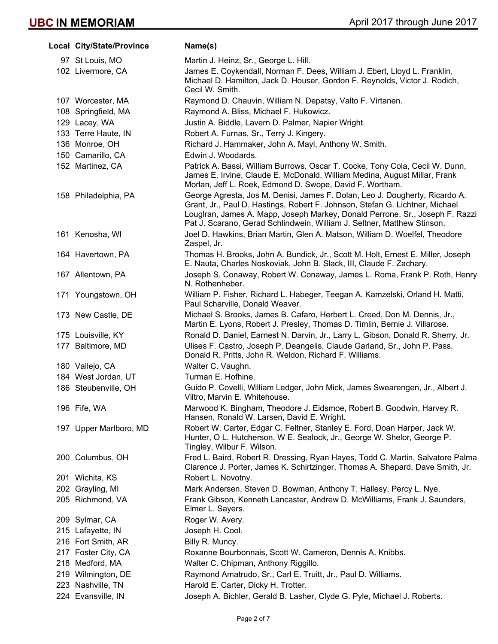| Local City/State/Province | Name(s)                                                                                                                                                                                                                                                                                                                |
|---------------------------|------------------------------------------------------------------------------------------------------------------------------------------------------------------------------------------------------------------------------------------------------------------------------------------------------------------------|
| 97 St Louis, MO           | Martin J. Heinz, Sr., George L. Hill.                                                                                                                                                                                                                                                                                  |
| 102 Livermore, CA         | James E. Coykendall, Norman F. Dees, William J. Ebert, Lloyd L. Franklin,<br>Michael D. Hamilton, Jack D. Houser, Gordon F. Reynolds, Victor J. Rodich,<br>Cecil W. Smith.                                                                                                                                             |
| 107 Worcester, MA         | Raymond D. Chauvin, William N. Depatsy, Valto F. Virtanen.                                                                                                                                                                                                                                                             |
| 108 Springfield, MA       | Raymond A. Bliss, Michael F. Hukowicz.                                                                                                                                                                                                                                                                                 |
| 129 Lacey, WA             | Justin A. Biddle, Lavern D. Palmer, Napier Wright.                                                                                                                                                                                                                                                                     |
| 133 Terre Haute, IN       | Robert A. Furnas, Sr., Terry J. Kingery.                                                                                                                                                                                                                                                                               |
| 136 Monroe, OH            | Richard J. Hammaker, John A. Mayl, Anthony W. Smith.                                                                                                                                                                                                                                                                   |
| 150 Camarillo, CA         | Edwin J. Woodards.                                                                                                                                                                                                                                                                                                     |
| 152 Martinez, CA          | Patrick A. Bassi, William Burrows, Oscar T. Cocke, Tony Cola, Cecil W. Dunn,<br>James E. Irvine, Claude E. McDonald, William Medina, August Millar, Frank<br>Morlan, Jeff L. Roek, Edmond D. Swope, David F. Wortham.                                                                                                  |
| 158 Philadelphia, PA      | George Agresta, Jos M. Denisi, James F. Dolan, Leo J. Dougherty, Ricardo A.<br>Grant, Jr., Paul D. Hastings, Robert F. Johnson, Stefan G. Lichtner, Michael<br>Louglran, James A. Mapp, Joseph Markey, Donald Perrone, Sr., Joseph F. Razzi<br>Pat J. Scarano, Gerad Schlindwein, William J. Seltner, Matthew Stinson. |
| 161 Kenosha, WI           | Joel D. Hawkins, Brian Martin, Glen A. Matson, William D. Woelfel, Theodore<br>Zaspel, Jr.                                                                                                                                                                                                                             |
| 164 Havertown, PA         | Thomas H. Brooks, John A. Bundick, Jr., Scott M. Holt, Ernest E. Miller, Joseph<br>E. Nauta, Charles Noskoviak, John B. Slack, III, Claude F. Zachary.                                                                                                                                                                 |
| 167 Allentown, PA         | Joseph S. Conaway, Robert W. Conaway, James L. Roma, Frank P. Roth, Henry<br>N. Rothenheber.                                                                                                                                                                                                                           |
| 171 Youngstown, OH        | William P. Fisher, Richard L. Habeger, Teegan A. Kamzelski, Orland H. Matti,<br>Paul Scharville, Donald Weaver.                                                                                                                                                                                                        |
| 173 New Castle, DE        | Michael S. Brooks, James B. Cafaro, Herbert L. Creed, Don M. Dennis, Jr.,<br>Martin E. Lyons, Robert J. Presley, Thomas D. Timlin, Bernie J. Villarose.                                                                                                                                                                |
| 175 Louisville, KY        | Ronald D. Daniel, Earnest N. Darvin, Jr., Larry L. Gibson, Donald R. Sherry, Jr.                                                                                                                                                                                                                                       |
| 177 Baltimore, MD         | Ulises F. Castro, Joseph P. Deangelis, Claude Garland, Sr., John P. Pass,<br>Donald R. Pritts, John R. Weldon, Richard F. Williams.                                                                                                                                                                                    |
| 180 Vallejo, CA           | Walter C. Vaughn.                                                                                                                                                                                                                                                                                                      |
| 184 West Jordan, UT       | Turman E. Hofhine.                                                                                                                                                                                                                                                                                                     |
| 186 Steubenville, OH      | Guido P. Covelli, William Ledger, John Mick, James Swearengen, Jr., Albert J.<br>Viltro, Marvin E. Whitehouse.                                                                                                                                                                                                         |
| 196 Fife, WA              | Marwood K. Bingham, Theodore J. Eidsmoe, Robert B. Goodwin, Harvey R.<br>Hansen, Ronald W. Larsen, David E. Wright.                                                                                                                                                                                                    |
| 197 Upper Marlboro, MD    | Robert W. Carter, Edgar C. Feltner, Stanley E. Ford, Doan Harper, Jack W.<br>Hunter, O L. Hutcherson, W E. Sealock, Jr., George W. Shelor, George P.<br>Tingley, Wilbur F. Wilson.                                                                                                                                     |
| 200 Columbus, OH          | Fred L. Baird, Robert R. Dressing, Ryan Hayes, Todd C. Martin, Salvatore Palma<br>Clarence J. Porter, James K. Schirtzinger, Thomas A. Shepard, Dave Smith, Jr.                                                                                                                                                        |
| 201 Wichita, KS           | Robert L. Novotny.                                                                                                                                                                                                                                                                                                     |
| 202 Grayling, MI          | Mark Andersen, Steven D. Bowman, Anthony T. Hallesy, Percy L. Nye.                                                                                                                                                                                                                                                     |
| 205 Richmond, VA          | Frank Gibson, Kenneth Lancaster, Andrew D. McWilliams, Frank J. Saunders,<br>Elmer L. Sayers.                                                                                                                                                                                                                          |
| 209 Sylmar, CA            | Roger W. Avery.                                                                                                                                                                                                                                                                                                        |
| 215 Lafayette, IN         | Joseph H. Cool.                                                                                                                                                                                                                                                                                                        |
| 216 Fort Smith, AR        | Billy R. Muncy.                                                                                                                                                                                                                                                                                                        |
| 217 Foster City, CA       | Roxanne Bourbonnais, Scott W. Cameron, Dennis A. Knibbs.                                                                                                                                                                                                                                                               |
| 218 Medford, MA           | Walter C. Chipman, Anthony Riggillo.                                                                                                                                                                                                                                                                                   |
| 219 Wilmington, DE        | Raymond Amatrudo, Sr., Carl E. Truitt, Jr., Paul D. Williams.                                                                                                                                                                                                                                                          |
| 223 Nashville, TN         | Harold E. Carter, Dicky H. Trotter.                                                                                                                                                                                                                                                                                    |
| 224 Evansville, IN        | Joseph A. Bichler, Gerald B. Lasher, Clyde G. Pyle, Michael J. Roberts.                                                                                                                                                                                                                                                |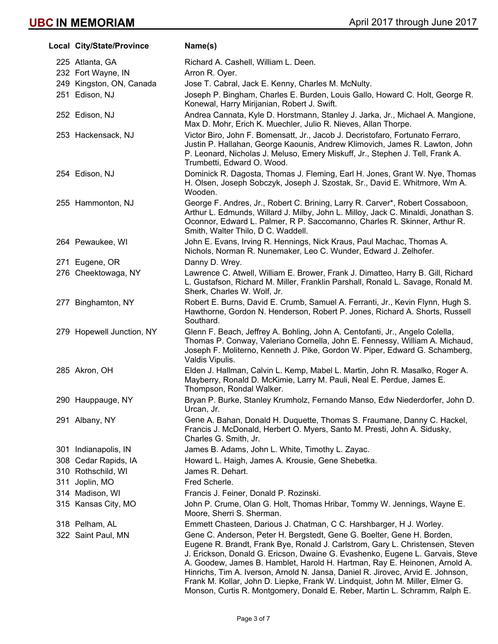| Local City/State/Province | Name(s)                                                                                                                                                                                                                                                                                                                                                                                                                                                                                                                                                                  |
|---------------------------|--------------------------------------------------------------------------------------------------------------------------------------------------------------------------------------------------------------------------------------------------------------------------------------------------------------------------------------------------------------------------------------------------------------------------------------------------------------------------------------------------------------------------------------------------------------------------|
| 225 Atlanta, GA           | Richard A. Cashell, William L. Deen.                                                                                                                                                                                                                                                                                                                                                                                                                                                                                                                                     |
| 232 Fort Wayne, IN        | Arron R. Oyer.                                                                                                                                                                                                                                                                                                                                                                                                                                                                                                                                                           |
| 249 Kingston, ON, Canada  | Jose T. Cabral, Jack E. Kenny, Charles M. McNulty.                                                                                                                                                                                                                                                                                                                                                                                                                                                                                                                       |
| 251 Edison, NJ            | Joseph P. Bingham, Charles E. Burden, Louis Gallo, Howard C. Holt, George R.<br>Konewal, Harry Mirijanian, Robert J. Swift.                                                                                                                                                                                                                                                                                                                                                                                                                                              |
| 252 Edison, NJ            | Andrea Cannata, Kyle D. Horstmann, Stanley J. Jarka, Jr., Michael A. Mangione,<br>Max D. Mohr, Erich K. Muechler, Julio R. Nieves, Allan Thorpe.                                                                                                                                                                                                                                                                                                                                                                                                                         |
| 253 Hackensack, NJ        | Victor Biro, John F. Bomensatt, Jr., Jacob J. Decristofaro, Fortunato Ferraro,<br>Justin P. Hallahan, George Kaounis, Andrew Klimovich, James R. Lawton, John<br>P. Leonard, Nicholas J. Meluso, Emery Miskuff, Jr., Stephen J. Tell, Frank A.<br>Trumbetti, Edward O. Wood.                                                                                                                                                                                                                                                                                             |
| 254 Edison, NJ            | Dominick R. Dagosta, Thomas J. Fleming, Earl H. Jones, Grant W. Nye, Thomas<br>H. Olsen, Joseph Sobczyk, Joseph J. Szostak, Sr., David E. Whitmore, Wm A.<br>Wooden.                                                                                                                                                                                                                                                                                                                                                                                                     |
| 255 Hammonton, NJ         | George F. Andres, Jr., Robert C. Brining, Larry R. Carver*, Robert Cossaboon,<br>Arthur L. Edmunds, Willard J. Milby, John L. Milloy, Jack C. Minaldi, Jonathan S.<br>Oconnor, Edward L. Palmer, R P. Saccomanno, Charles R. Skinner, Arthur R.<br>Smith, Walter Thilo, D C. Waddell.                                                                                                                                                                                                                                                                                    |
| 264 Pewaukee, WI          | John E. Evans, Irving R. Hennings, Nick Kraus, Paul Machac, Thomas A.<br>Nichols, Norman R. Nunemaker, Leo C. Wunder, Edward J. Zelhofer.                                                                                                                                                                                                                                                                                                                                                                                                                                |
| 271 Eugene, OR            | Danny D. Wrey.                                                                                                                                                                                                                                                                                                                                                                                                                                                                                                                                                           |
| 276 Cheektowaga, NY       | Lawrence C. Atwell, William E. Brower, Frank J. Dimatteo, Harry B. Gill, Richard<br>L. Gustafson, Richard M. Miller, Franklin Parshall, Ronald L. Savage, Ronald M.<br>Sherk, Charles W. Wolf, Jr.                                                                                                                                                                                                                                                                                                                                                                       |
| 277 Binghamton, NY        | Robert E. Burns, David E. Crumb, Samuel A. Ferranti, Jr., Kevin Flynn, Hugh S.<br>Hawthorne, Gordon N. Henderson, Robert P. Jones, Richard A. Shorts, Russell<br>Southard.                                                                                                                                                                                                                                                                                                                                                                                               |
| 279 Hopewell Junction, NY | Glenn F. Beach, Jeffrey A. Bohling, John A. Centofanti, Jr., Angelo Colella,<br>Thomas P. Conway, Valeriano Cornella, John E. Fennessy, William A. Michaud,<br>Joseph F. Moliterno, Kenneth J. Pike, Gordon W. Piper, Edward G. Schamberg,<br>Valdis Vipulis.                                                                                                                                                                                                                                                                                                            |
| 285 Akron, OH             | Elden J. Hallman, Calvin L. Kemp, Mabel L. Martin, John R. Masalko, Roger A.<br>Mayberry, Ronald D. McKimie, Larry M. Pauli, Neal E. Perdue, James E.<br>Thompson, Rondal Walker.                                                                                                                                                                                                                                                                                                                                                                                        |
| 290 Hauppauge, NY         | Bryan P. Burke, Stanley Krumholz, Fernando Manso, Edw Niederdorfer, John D.<br>Urcan, Jr.                                                                                                                                                                                                                                                                                                                                                                                                                                                                                |
| 291 Albany, NY            | Gene A. Bahan, Donald H. Duquette, Thomas S. Fraumane, Danny C. Hackel,<br>Francis J. McDonald, Herbert O. Myers, Santo M. Presti, John A. Sidusky,<br>Charles G. Smith, Jr.                                                                                                                                                                                                                                                                                                                                                                                             |
| 301 Indianapolis, IN      | James B. Adams, John L. White, Timothy L. Zayac.                                                                                                                                                                                                                                                                                                                                                                                                                                                                                                                         |
| 308 Cedar Rapids, IA      | Howard L. Haigh, James A. Krousie, Gene Shebetka.                                                                                                                                                                                                                                                                                                                                                                                                                                                                                                                        |
| 310 Rothschild, WI        | James R. Dehart.                                                                                                                                                                                                                                                                                                                                                                                                                                                                                                                                                         |
| 311 Joplin, MO            | Fred Scherle.                                                                                                                                                                                                                                                                                                                                                                                                                                                                                                                                                            |
| 314 Madison, WI           | Francis J. Feiner, Donald P. Rozinski.                                                                                                                                                                                                                                                                                                                                                                                                                                                                                                                                   |
| 315 Kansas City, MO       | John P. Crume, Olan G. Holt, Thomas Hribar, Tommy W. Jennings, Wayne E.<br>Moore, Sherri S. Sherman.                                                                                                                                                                                                                                                                                                                                                                                                                                                                     |
| 318 Pelham, AL            | Emmett Chasteen, Darious J. Chatman, C C. Harshbarger, H J. Worley.                                                                                                                                                                                                                                                                                                                                                                                                                                                                                                      |
| 322 Saint Paul, MN        | Gene C. Anderson, Peter H. Bergstedt, Gene G. Boelter, Gene H. Borden,<br>Eugene R. Brandt, Frank Bye, Ronald J. Carlstrom, Gary L. Christensen, Steven<br>J. Erickson, Donald G. Ericson, Dwaine G. Evashenko, Eugene L. Garvais, Steve<br>A. Goodew, James B. Hamblet, Harold H. Hartman, Ray E. Heinonen, Arnold A.<br>Hinrichs, Tim A. Iverson, Arnold N. Jansa, Daniel R. Jirovec, Arvid E. Johnson,<br>Frank M. Kollar, John D. Liepke, Frank W. Lindquist, John M. Miller, Elmer G.<br>Monson, Curtis R. Montgomery, Donald E. Reber, Martin L. Schramm, Ralph E. |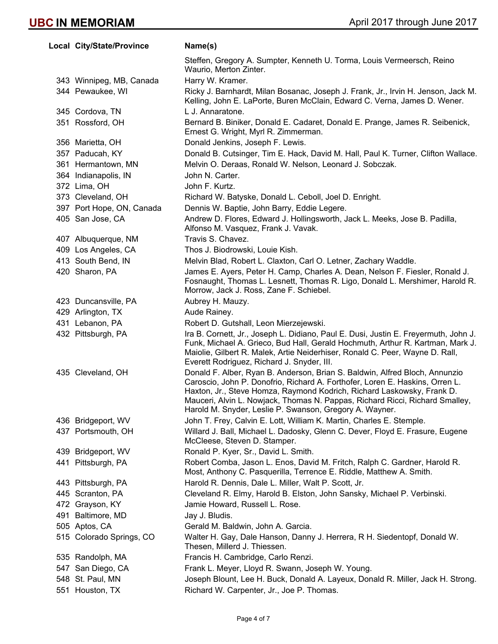**Local City/State/Province Mame(s)** Steffen, Gregory A. Sumpter, Kenneth U. Torma, Louis Vermeersch, Reino Waurio, Merton Zinter. 343 Winnipeg, MB, Canada Harry W. Kramer. 344 Pewaukee, WI Ricky J. Barnhardt, Milan Bosanac, Joseph J. Frank, Jr., Irvin H. Jenson, Jack M. Kelling, John E. LaPorte, Buren McClain, Edward C. Verna, James D. Wener. 345 Cordova, TN L J. Annaratone. 351 Rossford, OH Bernard B. Biniker, Donald E. Cadaret, Donald E. Prange, James R. Seibenick, Ernest G. Wright, Myrl R. Zimmerman. 356 Marietta, OH Donald Jenkins, Joseph F. Lewis. 357 Paducah, KY Donald B. Cutsinger, Tim E. Hack, David M. Hall, Paul K. Turner, Clifton Wallace. 361 Hermantown, MN Melvin O. Deraas, Ronald W. Nelson, Leonard J. Sobczak. 364 Indianapolis, IN John N. Carter. 372 Lima, OH John F. Kurtz. 373 Cleveland, OH Richard W. Batyske, Donald L. Ceboll, Joel D. Enright. 397 Port Hope, ON, Canada Dennis W. Baptie, John Barry, Eddie Legere. 405 San Jose, CA Andrew D. Flores, Edward J. Hollingsworth, Jack L. Meeks, Jose B. Padilla, Alfonso M. Vasquez, Frank J. Vavak. 407 Albuquerque, NM Travis S. Chavez. 409 Los Angeles, CA Thos J. Biodrowski, Louie Kish. 413 South Bend, IN Melvin Blad, Robert L. Claxton, Carl O. Letner, Zachary Waddle. 420 Sharon, PA James E. Ayers, Peter H. Camp, Charles A. Dean, Nelson F. Fiesler, Ronald J. Fosnaught, Thomas L. Lesnett, Thomas R. Ligo, Donald L. Mershimer, Harold R. Morrow, Jack J. Ross, Zane F. Schiebel. 423 Duncansville, PA Aubrey H. Mauzy. 429 Arlington, TX **Aude Rainey.** 431 Lebanon, PA Robert D. Gutshall, Leon Mierzejewski. 432 Pittsburgh, PA Ira B. Cornett, Jr., Joseph L. Didiano, Paul E. Dusi, Justin E. Freyermuth, John J. Funk, Michael A. Grieco, Bud Hall, Gerald Hochmuth, Arthur R. Kartman, Mark J. Maiolie, Gilbert R. Malek, Artie Neiderhiser, Ronald C. Peer, Wayne D. Rall, Everett Rodriguez, Richard J. Snyder, III. 435 Cleveland, OH Donald F. Alber, Ryan B. Anderson, Brian S. Baldwin, Alfred Bloch, Annunzio Caroscio, John P. Donofrio, Richard A. Forthofer, Loren E. Haskins, Orren L. Haxton, Jr., Steve Homza, Raymond Kodrich, Richard Laskowsky, Frank D. Mauceri, Alvin L. Nowjack, Thomas N. Pappas, Richard Ricci, Richard Smalley, Harold M. Snyder, Leslie P. Swanson, Gregory A. Wayner. 436 Bridgeport, WV John T. Frey, Calvin E. Lott, William K. Martin, Charles E. Stemple. 437 Portsmouth, OH Willard J. Ball, Michael L. Dadosky, Glenn C. Dever, Floyd E. Frasure, Eugene McCleese, Steven D. Stamper. 439 Bridgeport, WV Ronald P. Kyer, Sr., David L. Smith. 441 Pittsburgh, PA Robert Comba, Jason L. Enos, David M. Fritch, Ralph C. Gardner, Harold R. Most, Anthony C. Pasquerilla, Terrence E. Riddle, Matthew A. Smith. 443 Pittsburgh, PA Harold R. Dennis, Dale L. Miller, Walt P. Scott, Jr. 445 Scranton, PA Cleveland R. Elmy, Harold B. Elston, John Sansky, Michael P. Verbinski. 472 Grayson, KY Jamie Howard, Russell L. Rose. 491 Baltimore, MD Jay J. Bludis. 505 Aptos, CA Gerald M. Baldwin, John A. Garcia. 515 Colorado Springs, CO Walter H. Gay, Dale Hanson, Danny J. Herrera, R H. Siedentopf, Donald W. Thesen, Millerd J. Thiessen. 535 Randolph, MA Francis H. Cambridge, Carlo Renzi. 547 San Diego, CA Frank L. Meyer, Lloyd R. Swann, Joseph W. Young. 548 St. Paul, MN Joseph Blount, Lee H. Buck, Donald A. Layeux, Donald R. Miller, Jack H. Strong. 551 Houston, TX Richard W. Carpenter, Jr., Joe P. Thomas.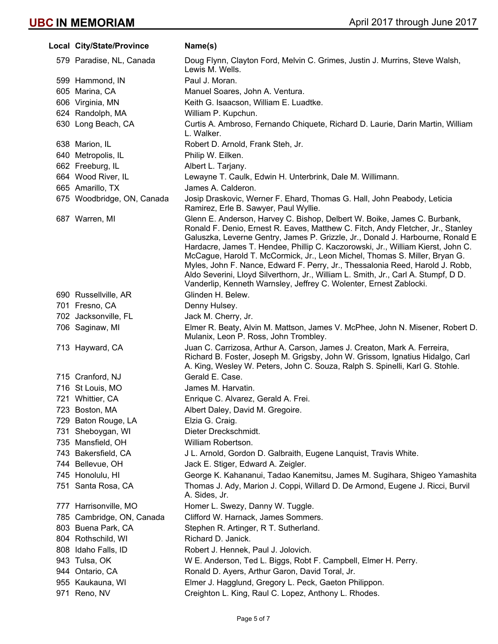| Local City/State/Province  | Name(s)                                                                                                                                                                                                                                                                                                                                                                                                                                                                                                                                                                                                                                                     |
|----------------------------|-------------------------------------------------------------------------------------------------------------------------------------------------------------------------------------------------------------------------------------------------------------------------------------------------------------------------------------------------------------------------------------------------------------------------------------------------------------------------------------------------------------------------------------------------------------------------------------------------------------------------------------------------------------|
| 579 Paradise, NL, Canada   | Doug Flynn, Clayton Ford, Melvin C. Grimes, Justin J. Murrins, Steve Walsh,<br>Lewis M. Wells.                                                                                                                                                                                                                                                                                                                                                                                                                                                                                                                                                              |
| 599 Hammond, IN            | Paul J. Moran.                                                                                                                                                                                                                                                                                                                                                                                                                                                                                                                                                                                                                                              |
| 605 Marina, CA             | Manuel Soares, John A. Ventura.                                                                                                                                                                                                                                                                                                                                                                                                                                                                                                                                                                                                                             |
| 606 Virginia, MN           | Keith G. Isaacson, William E. Luadtke.                                                                                                                                                                                                                                                                                                                                                                                                                                                                                                                                                                                                                      |
| 624 Randolph, MA           | William P. Kupchun.                                                                                                                                                                                                                                                                                                                                                                                                                                                                                                                                                                                                                                         |
| 630 Long Beach, CA         | Curtis A. Ambroso, Fernando Chiquete, Richard D. Laurie, Darin Martin, William<br>L. Walker.                                                                                                                                                                                                                                                                                                                                                                                                                                                                                                                                                                |
| 638 Marion, IL             | Robert D. Arnold, Frank Steh, Jr.                                                                                                                                                                                                                                                                                                                                                                                                                                                                                                                                                                                                                           |
| 640 Metropolis, IL         | Philip W. Eilken.                                                                                                                                                                                                                                                                                                                                                                                                                                                                                                                                                                                                                                           |
| 662 Freeburg, IL           | Albert L. Tarjany.                                                                                                                                                                                                                                                                                                                                                                                                                                                                                                                                                                                                                                          |
| 664 Wood River, IL         | Lewayne T. Caulk, Edwin H. Unterbrink, Dale M. Willimann.                                                                                                                                                                                                                                                                                                                                                                                                                                                                                                                                                                                                   |
| 665 Amarillo, TX           | James A. Calderon.                                                                                                                                                                                                                                                                                                                                                                                                                                                                                                                                                                                                                                          |
| 675 Woodbridge, ON, Canada | Josip Draskovic, Werner F. Ehard, Thomas G. Hall, John Peabody, Leticia<br>Ramirez, Erle B. Sawyer, Paul Wyllie.                                                                                                                                                                                                                                                                                                                                                                                                                                                                                                                                            |
| 687 Warren, MI             | Glenn E. Anderson, Harvey C. Bishop, Delbert W. Boike, James C. Burbank,<br>Ronald F. Denio, Ernest R. Eaves, Matthew C. Fitch, Andy Fletcher, Jr., Stanley<br>Galuszka, Leverne Gentry, James P. Grizzle, Jr., Donald J. Harbourne, Ronald E<br>Hardacre, James T. Hendee, Phillip C. Kaczorowski, Jr., William Kierst, John C.<br>McCague, Harold T. McCormick, Jr., Leon Michel, Thomas S. Miller, Bryan G.<br>Myles, John F. Nance, Edward F. Perry, Jr., Thessalonia Reed, Harold J. Robb,<br>Aldo Severini, Lloyd Silverthorn, Jr., William L. Smith, Jr., Carl A. Stumpf, D D.<br>Vanderlip, Kenneth Warnsley, Jeffrey C. Wolenter, Ernest Zablocki. |
| 690 Russellville, AR       | Glinden H. Belew.                                                                                                                                                                                                                                                                                                                                                                                                                                                                                                                                                                                                                                           |
| 701 Fresno, CA             | Denny Hulsey.                                                                                                                                                                                                                                                                                                                                                                                                                                                                                                                                                                                                                                               |
| 702 Jacksonville, FL       | Jack M. Cherry, Jr.                                                                                                                                                                                                                                                                                                                                                                                                                                                                                                                                                                                                                                         |
| 706 Saginaw, MI            | Elmer R. Beaty, Alvin M. Mattson, James V. McPhee, John N. Misener, Robert D.<br>Mulanix, Leon P. Ross, John Trombley.                                                                                                                                                                                                                                                                                                                                                                                                                                                                                                                                      |
| 713 Hayward, CA            | Juan C. Carrizosa, Arthur A. Carson, James J. Creaton, Mark A. Ferreira,<br>Richard B. Foster, Joseph M. Grigsby, John W. Grissom, Ignatius Hidalgo, Carl<br>A. King, Wesley W. Peters, John C. Souza, Ralph S. Spinelli, Karl G. Stohle.                                                                                                                                                                                                                                                                                                                                                                                                                   |
| 715 Cranford, NJ           | Gerald E. Case.                                                                                                                                                                                                                                                                                                                                                                                                                                                                                                                                                                                                                                             |
| 716 St Louis, MO           | James M. Harvatin.                                                                                                                                                                                                                                                                                                                                                                                                                                                                                                                                                                                                                                          |
| 721 Whittier, CA           | Enrique C. Alvarez, Gerald A. Frei.                                                                                                                                                                                                                                                                                                                                                                                                                                                                                                                                                                                                                         |
| 723 Boston, MA             | Albert Daley, David M. Gregoire.                                                                                                                                                                                                                                                                                                                                                                                                                                                                                                                                                                                                                            |
| 729 Baton Rouge, LA        | Elzia G. Craig.                                                                                                                                                                                                                                                                                                                                                                                                                                                                                                                                                                                                                                             |
| 731 Sheboygan, WI          | Dieter Dreckschmidt.                                                                                                                                                                                                                                                                                                                                                                                                                                                                                                                                                                                                                                        |
| 735 Mansfield, OH          | William Robertson.                                                                                                                                                                                                                                                                                                                                                                                                                                                                                                                                                                                                                                          |
| 743 Bakersfield, CA        | J L. Arnold, Gordon D. Galbraith, Eugene Lanquist, Travis White.                                                                                                                                                                                                                                                                                                                                                                                                                                                                                                                                                                                            |
| 744 Bellevue, OH           | Jack E. Stiger, Edward A. Zeigler.                                                                                                                                                                                                                                                                                                                                                                                                                                                                                                                                                                                                                          |
| 745 Honolulu, HI           | George K. Kahananui, Tadao Kanemitsu, James M. Sugihara, Shigeo Yamashita                                                                                                                                                                                                                                                                                                                                                                                                                                                                                                                                                                                   |
| 751 Santa Rosa, CA         | Thomas J. Ady, Marion J. Coppi, Willard D. De Armond, Eugene J. Ricci, Burvil<br>A. Sides, Jr.                                                                                                                                                                                                                                                                                                                                                                                                                                                                                                                                                              |
| 777 Harrisonville, MO      | Homer L. Swezy, Danny W. Tuggle.                                                                                                                                                                                                                                                                                                                                                                                                                                                                                                                                                                                                                            |
| 785 Cambridge, ON, Canada  | Clifford W. Harnack, James Sommers.                                                                                                                                                                                                                                                                                                                                                                                                                                                                                                                                                                                                                         |
| 803 Buena Park, CA         | Stephen R. Artinger, R T. Sutherland.                                                                                                                                                                                                                                                                                                                                                                                                                                                                                                                                                                                                                       |
| 804 Rothschild, WI         | Richard D. Janick.                                                                                                                                                                                                                                                                                                                                                                                                                                                                                                                                                                                                                                          |
| 808 Idaho Falls, ID        | Robert J. Hennek, Paul J. Jolovich.                                                                                                                                                                                                                                                                                                                                                                                                                                                                                                                                                                                                                         |
| 943 Tulsa, OK              | W E. Anderson, Ted L. Biggs, Robt F. Campbell, Elmer H. Perry.                                                                                                                                                                                                                                                                                                                                                                                                                                                                                                                                                                                              |
| 944 Ontario, CA            | Ronald D. Ayers, Arthur Garon, David Toral, Jr.                                                                                                                                                                                                                                                                                                                                                                                                                                                                                                                                                                                                             |
| 955 Kaukauna, WI           | Elmer J. Hagglund, Gregory L. Peck, Gaeton Philippon.                                                                                                                                                                                                                                                                                                                                                                                                                                                                                                                                                                                                       |
| 971 Reno, NV               | Creighton L. King, Raul C. Lopez, Anthony L. Rhodes.                                                                                                                                                                                                                                                                                                                                                                                                                                                                                                                                                                                                        |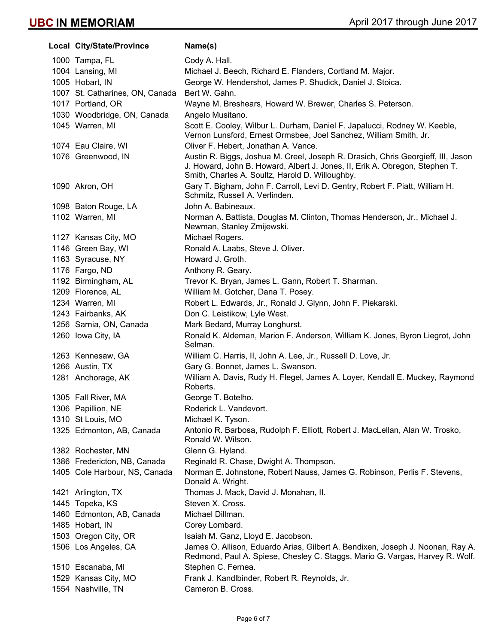| Local City/State/Province       | Name(s)                                                                                                                                                                                                            |
|---------------------------------|--------------------------------------------------------------------------------------------------------------------------------------------------------------------------------------------------------------------|
| 1000 Tampa, FL                  | Cody A. Hall.                                                                                                                                                                                                      |
| 1004 Lansing, MI                | Michael J. Beech, Richard E. Flanders, Cortland M. Major.                                                                                                                                                          |
| 1005 Hobart, IN                 | George W. Hendershot, James P. Shudick, Daniel J. Stoica.                                                                                                                                                          |
| 1007 St. Catharines, ON, Canada | Bert W. Gahn.                                                                                                                                                                                                      |
| 1017 Portland, OR               | Wayne M. Breshears, Howard W. Brewer, Charles S. Peterson.                                                                                                                                                         |
| 1030 Woodbridge, ON, Canada     | Angelo Musitano.                                                                                                                                                                                                   |
| 1045 Warren, MI                 | Scott E. Cooley, Wilbur L. Durham, Daniel F. Japalucci, Rodney W. Keeble,<br>Vernon Lunsford, Ernest Ormsbee, Joel Sanchez, William Smith, Jr.                                                                     |
| 1074 Eau Claire, WI             | Oliver F. Hebert, Jonathan A. Vance.                                                                                                                                                                               |
| 1076 Greenwood, IN              | Austin R. Biggs, Joshua M. Creel, Joseph R. Drasich, Chris Georgieff, III, Jason<br>J. Howard, John B. Howard, Albert J. Jones, II, Erik A. Obregon, Stephen T.<br>Smith, Charles A. Soultz, Harold D. Willoughby. |
| 1090 Akron, OH                  | Gary T. Bigham, John F. Carroll, Levi D. Gentry, Robert F. Piatt, William H.<br>Schmitz, Russell A. Verlinden.                                                                                                     |
| 1098 Baton Rouge, LA            | John A. Babineaux.                                                                                                                                                                                                 |
| 1102 Warren, MI                 | Norman A. Battista, Douglas M. Clinton, Thomas Henderson, Jr., Michael J.<br>Newman, Stanley Zmijewski.                                                                                                            |
| 1127 Kansas City, MO            | Michael Rogers.                                                                                                                                                                                                    |
| 1146 Green Bay, WI              | Ronald A. Laabs, Steve J. Oliver.                                                                                                                                                                                  |
| 1163 Syracuse, NY               | Howard J. Groth.                                                                                                                                                                                                   |
| 1176 Fargo, ND                  | Anthony R. Geary.                                                                                                                                                                                                  |
| 1192 Birmingham, AL             | Trevor K. Bryan, James L. Gann, Robert T. Sharman.                                                                                                                                                                 |
| 1209 Florence, AL               | William M. Gotcher, Dana T. Posey.                                                                                                                                                                                 |
| 1234 Warren, MI                 | Robert L. Edwards, Jr., Ronald J. Glynn, John F. Piekarski.                                                                                                                                                        |
| 1243 Fairbanks, AK              | Don C. Leistikow, Lyle West.                                                                                                                                                                                       |
| 1256 Sarnia, ON, Canada         | Mark Bedard, Murray Longhurst.                                                                                                                                                                                     |
| 1260 Iowa City, IA              | Ronald K. Aldeman, Marion F. Anderson, William K. Jones, Byron Liegrot, John<br>Selman.                                                                                                                            |
| 1263 Kennesaw, GA               | William C. Harris, II, John A. Lee, Jr., Russell D. Love, Jr.                                                                                                                                                      |
| 1266 Austin, TX                 | Gary G. Bonnet, James L. Swanson.                                                                                                                                                                                  |
| 1281 Anchorage, AK              | William A. Davis, Rudy H. Flegel, James A. Loyer, Kendall E. Muckey, Raymond<br>Roberts.                                                                                                                           |
| 1305 Fall River, MA             | George T. Botelho.                                                                                                                                                                                                 |
| 1306 Papillion, NE              | Roderick L. Vandevort.                                                                                                                                                                                             |
| 1310 St Louis, MO               | Michael K. Tyson.                                                                                                                                                                                                  |
| 1325 Edmonton, AB, Canada       | Antonio R. Barbosa, Rudolph F. Elliott, Robert J. MacLellan, Alan W. Trosko,<br>Ronald W. Wilson.                                                                                                                  |
| 1382 Rochester, MN              | Glenn G. Hyland.                                                                                                                                                                                                   |
| 1386 Fredericton, NB, Canada    | Reginald R. Chase, Dwight A. Thompson.                                                                                                                                                                             |
| 1405 Cole Harbour, NS, Canada   | Norman E. Johnstone, Robert Nauss, James G. Robinson, Perlis F. Stevens,<br>Donald A. Wright.                                                                                                                      |
| 1421 Arlington, TX              | Thomas J. Mack, David J. Monahan, II.                                                                                                                                                                              |
| 1445 Topeka, KS                 | Steven X. Cross.                                                                                                                                                                                                   |
| 1460 Edmonton, AB, Canada       | Michael Dillman.                                                                                                                                                                                                   |
| 1485 Hobart, IN                 | Corey Lombard.                                                                                                                                                                                                     |
| 1503 Oregon City, OR            | Isaiah M. Ganz, Lloyd E. Jacobson.                                                                                                                                                                                 |
| 1506 Los Angeles, CA            | James O. Allison, Eduardo Arias, Gilbert A. Bendixen, Joseph J. Noonan, Ray A.<br>Redmond, Paul A. Spiese, Chesley C. Staggs, Mario G. Vargas, Harvey R. Wolf.                                                     |
| 1510 Escanaba, MI               | Stephen C. Fernea.                                                                                                                                                                                                 |
| 1529 Kansas City, MO            | Frank J. Kandlbinder, Robert R. Reynolds, Jr.                                                                                                                                                                      |
| 1554 Nashville, TN              | Cameron B. Cross.                                                                                                                                                                                                  |